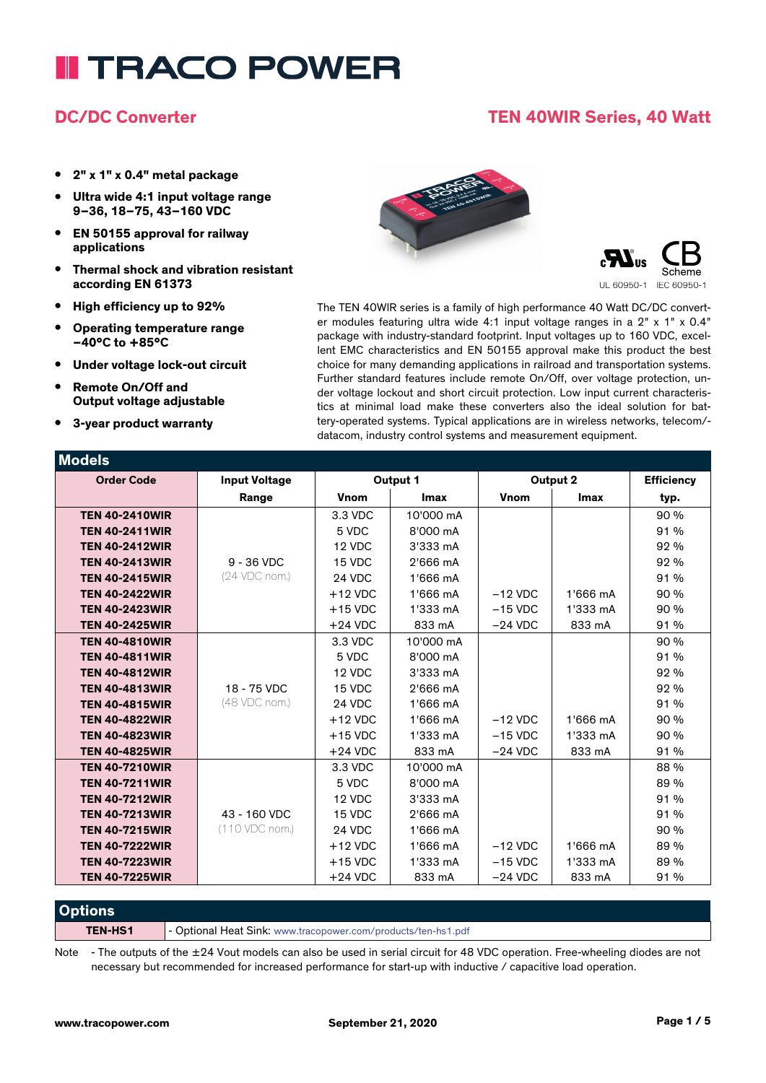# **I TRACO POWER**

#### **DC/DC Converter TEN 40WIR Series, 40 Watt**

- **• 2" x 1" x 0.4" metal package**
- **• Ultra wide 4:1 input voltage range 9–36, 18–75, 43–160 VDC**
- **• EN 50155 approval for railway applications**
- **• Thermal shock and vibration resistant according EN 61373**
- **• High efficiency up to 92%**
- **• Operating temperature range –40°C to +85°C**
- **• Under voltage lock-out circuit**
- **• Remote On/Off and Output voltage adjustable**
- **• 3-year product warranty**

**Models**





The TEN 40WIR series is a family of high performance 40 Watt DC/DC converter modules featuring ultra wide 4:1 input voltage ranges in a 2" x 1" x 0.4" package with industry-standard footprint. Input voltages up to 160 VDC, excellent EMC characteristics and EN 50155 approval make this product the best choice for many demanding applications in railroad and transportation systems. Further standard features include remote On/Off, over voltage protection, under voltage lockout and short circuit protection. Low input current characteristics at minimal load make these converters also the ideal solution for battery-operated systems. Typical applications are in wireless networks, telecom/ datacom, industry control systems and measurement equipment.

| <b>MOGEIS</b>         |                      |              |             |             |             |                   |
|-----------------------|----------------------|--------------|-------------|-------------|-------------|-------------------|
| <b>Order Code</b>     | <b>Input Voltage</b> | Output 1     |             | Output 2    |             | <b>Efficiency</b> |
|                       | Range                | <b>V</b> nom | <b>Imax</b> | <b>Vnom</b> | <b>Imax</b> | typ.              |
| <b>TEN 40-2410WIR</b> |                      | 3.3 VDC      | 10'000 mA   |             |             | 90 %              |
| <b>TEN 40-2411WIR</b> |                      | 5 VDC        | 8'000 mA    |             |             | 91 %              |
| <b>TEN 40-2412WIR</b> |                      | 12 VDC       | 3'333 mA    |             |             | 92 %              |
| <b>TEN 40-2413WIR</b> | $9 - 36$ VDC         | 15 VDC       | 2'666 mA    |             |             | 92 %              |
| <b>TEN 40-2415WIR</b> | (24 VDC nom.)        | 24 VDC       | 1'666 mA    |             |             | 91 %              |
| <b>TEN 40-2422WIR</b> |                      | $+12$ VDC    | 1'666 mA    | $-12$ VDC   | 1'666 mA    | 90 %              |
| <b>TEN 40-2423WIR</b> |                      | $+15$ VDC    | 1'333 mA    | $-15$ VDC   | 1'333 mA    | 90 %              |
| <b>TEN 40-2425WIR</b> |                      | $+24$ VDC    | 833 mA      | $-24$ VDC   | 833 mA      | 91 %              |
| <b>TEN 40-4810WIR</b> |                      | 3.3 VDC      | 10'000 mA   |             |             | 90 %              |
| <b>TEN 40-4811WIR</b> |                      | 5 VDC        | 8'000 mA    |             |             | 91 %              |
| <b>TEN 40-4812WIR</b> |                      | 12 VDC       | 3'333 mA    |             |             | 92 %              |
| <b>TEN 40-4813WIR</b> | 18 - 75 VDC          | 15 VDC       | 2'666 mA    |             |             | 92 %              |
| <b>TEN 40-4815WIR</b> | (48 VDC nom.)        | 24 VDC       | 1'666 mA    |             |             | 91 %              |
| <b>TEN 40-4822WIR</b> |                      | $+12$ VDC    | 1'666 mA    | $-12$ VDC   | 1'666 mA    | 90 %              |
| <b>TEN 40-4823WIR</b> |                      | $+15$ VDC    | 1'333 mA    | $-15$ VDC   | 1'333 mA    | 90 %              |
| <b>TEN 40-4825WIR</b> |                      | $+24$ VDC    | 833 mA      | $-24$ VDC   | 833 mA      | 91 %              |
| <b>TEN 40-7210WIR</b> |                      | 3.3 VDC      | 10'000 mA   |             |             | 88 %              |
| <b>TEN 40-7211WIR</b> |                      | 5 VDC        | 8'000 mA    |             |             | 89 %              |
| <b>TEN 40-7212WIR</b> |                      | 12 VDC       | 3'333 mA    |             |             | 91 %              |
| <b>TEN 40-7213WIR</b> | 43 - 160 VDC         | 15 VDC       | 2'666 mA    |             |             | 91 %              |
| <b>TEN 40-7215WIR</b> | (110 VDC nom.)       | 24 VDC       | 1'666 mA    |             |             | 90 %              |
| <b>TEN 40-7222WIR</b> |                      | $+12$ VDC    | 1'666 mA    | $-12$ VDC   | 1'666 mA    | 89 %              |
| <b>TEN 40-7223WIR</b> |                      | $+15$ VDC    | 1'333 mA    | $-15$ VDC   | 1'333 mA    | 89 %              |
| <b>TEN 40-7225WIR</b> |                      | $+24$ VDC    | 833 mA      | $-24$ VDC   | 833 mA      | 91 %              |

**Options**

**TEN-HS1** - Optional Heat Sink: www.tracopower.com/products/ten-hs1.pdf

Note - The outputs of the ±24 Vout models can also be used in serial circuit for 48 VDC operation. Free-wheeling diodes are not necessary but recommended for increased performance for start-up with inductive / capacitive load operation.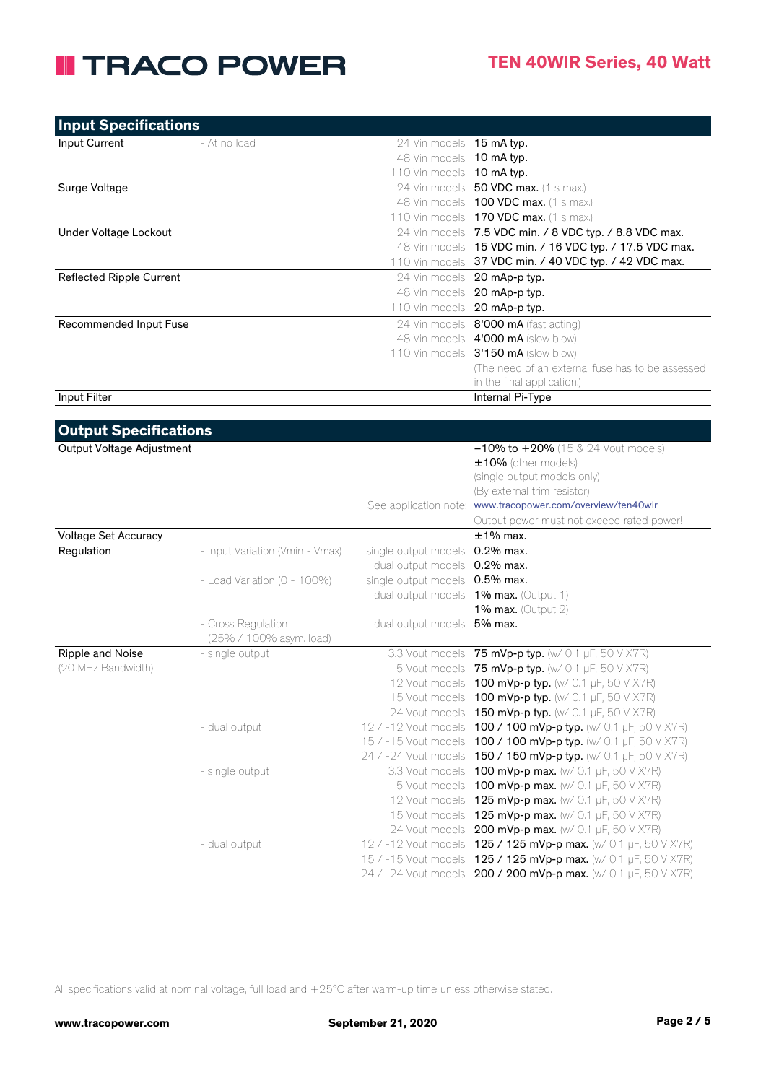### **II TRACO POWER**

| <b>Input Specifications</b>     |                                               |                                 |                                                            |
|---------------------------------|-----------------------------------------------|---------------------------------|------------------------------------------------------------|
| Input Current                   | - At no load                                  | 24 Vin models: 15 mA typ.       |                                                            |
|                                 |                                               | 48 Vin models: 10 mA typ.       |                                                            |
|                                 |                                               | 110 Vin models: 10 mA typ.      |                                                            |
| Surge Voltage                   |                                               |                                 | 24 Vin models: 50 VDC max. (1 s max.)                      |
|                                 |                                               |                                 | 48 Vin models: <b>100 VDC max.</b> (1 s max.)              |
|                                 |                                               |                                 | 110 Vin models: 170 VDC max. (1 s max.)                    |
| Under Voltage Lockout           |                                               |                                 | 24 Vin models: 7.5 VDC min. / 8 VDC typ. / 8.8 VDC max.    |
|                                 |                                               |                                 | 48 Vin models: 15 VDC min. / 16 VDC typ. / 17.5 VDC max.   |
|                                 |                                               |                                 | 110 Vin models: 37 VDC min. / 40 VDC typ. / 42 VDC max.    |
| <b>Reflected Ripple Current</b> |                                               |                                 | 24 Vin models: 20 mAp-p typ.                               |
|                                 |                                               |                                 | 48 Vin models: 20 mAp-p typ.                               |
|                                 |                                               | 110 Vin models: 20 mAp-p typ.   |                                                            |
| Recommended Input Fuse          |                                               |                                 | 24 Vin models: 8'000 mA (fast acting)                      |
|                                 |                                               |                                 | 48 Vin models: 4'000 mA (slow blow)                        |
|                                 |                                               |                                 | 110 Vin models: 3'150 mA (slow blow)                       |
|                                 |                                               |                                 | (The need of an external fuse has to be assessed           |
|                                 |                                               |                                 | in the final application.)                                 |
| Input Filter                    |                                               |                                 | Internal Pi-Type                                           |
|                                 |                                               |                                 |                                                            |
| <b>Output Specifications</b>    |                                               |                                 |                                                            |
| Output Voltage Adjustment       |                                               |                                 | $-10\%$ to $+20\%$ (15 & 24 Vout models)                   |
|                                 |                                               |                                 | ±10% (other models)                                        |
|                                 |                                               |                                 | (single output models only)                                |
|                                 |                                               |                                 | (By external trim resistor)                                |
|                                 |                                               |                                 | See application note: www.tracopower.com/overview/ten40wir |
|                                 |                                               |                                 | Output power must not exceed rated power!                  |
| Voltage Set Accuracy            |                                               |                                 | $±1\%$ max.                                                |
| Regulation                      | - Input Variation (Vmin - Vmax)               | single output models: 0.2% max. |                                                            |
|                                 |                                               | dual output models: 0.2% max.   |                                                            |
|                                 | - Load Variation (0 - 100%)                   | single output models: 0.5% max. |                                                            |
|                                 |                                               |                                 | dual output models: 1% max. (Output 1)                     |
|                                 |                                               |                                 | 1% max. (Output 2)                                         |
|                                 | - Cross Regulation<br>(25% / 100% asym. load) | dual output models: 5% max.     |                                                            |
| Ripple and Noise                | - single output                               |                                 | 3.3 Vout models: 75 mVp-p typ. (w/ 0.1 µF, 50 V X7R)       |

| Ripple and Noise   | - single output | 3.3 Vout models: <b>75 mVp-p typ.</b> (w/ 0.1 $\mu$ F, 50 V X7R)        |  |
|--------------------|-----------------|-------------------------------------------------------------------------|--|
| (20 MHz Bandwidth) |                 | 5 Vout models: 75 mVp-p typ. (w/ 0.1 µF, 50 V X7R)                      |  |
|                    |                 | 12 Vout models: <b>100 mVp-p typ.</b> (w/ 0.1 $\mu$ F, 50 V X7R)        |  |
|                    |                 | 15 Vout models: <b>100 mVp-p typ.</b> (w/ 0.1 $\mu$ F, 50 V X7R)        |  |
|                    |                 | 24 Vout models: <b>150 mVp-p typ.</b> (w/ 0.1 µF, 50 V X7R)             |  |
|                    | - dual output   | 12 / -12 Vout models: <b>100 / 100 mVp-p typ.</b> (w/ 0.1 µF, 50 V X7R) |  |
|                    |                 | 15 / -15 Vout models: <b>100 / 100 mVp-p typ.</b> (w/ 0.1 µF, 50 V X7R) |  |
|                    |                 | 24 / -24 Vout models: 150 / 150 mVp-p typ. (w/ 0.1 µF, 50 V X7R)        |  |
|                    | - single output | 3.3 Vout models: <b>100 mVp-p max.</b> (w/ 0.1 $\mu$ F, 50 V X7R)       |  |
|                    |                 | 5 Vout models: <b>100 mVp-p max.</b> (w/ 0.1 $\mu$ F, 50 V X7R)         |  |
|                    |                 | 12 Vout models: $125 \text{ mVp-p} \text{ max.}$ (w/ 0.1 µF, 50 V X7R)  |  |
|                    |                 | 15 Vout models: <b>125 mVp-p max.</b> (w/ 0.1 $\mu$ F, 50 V X7R)        |  |
|                    |                 | 24 Vout models: $200$ mVp-p max. (w/ 0.1 µF, 50 V X7R)                  |  |
|                    | - dual output   | 12 / -12 Vout models: 125 / 125 mVp-p max. (w/ 0.1 µF, 50 V X7R)        |  |
|                    |                 | 15 / -15 Vout models: <b>125 / 125 mVp-p max.</b> (w/ 0.1 µF, 50 V X7R) |  |
|                    |                 | 24 / -24 Vout models: 200 / 200 mVp-p max. (w/ 0.1 µF, 50 V X7R)        |  |

All specifications valid at nominal voltage, full load and +25°C after warm-up time unless otherwise stated.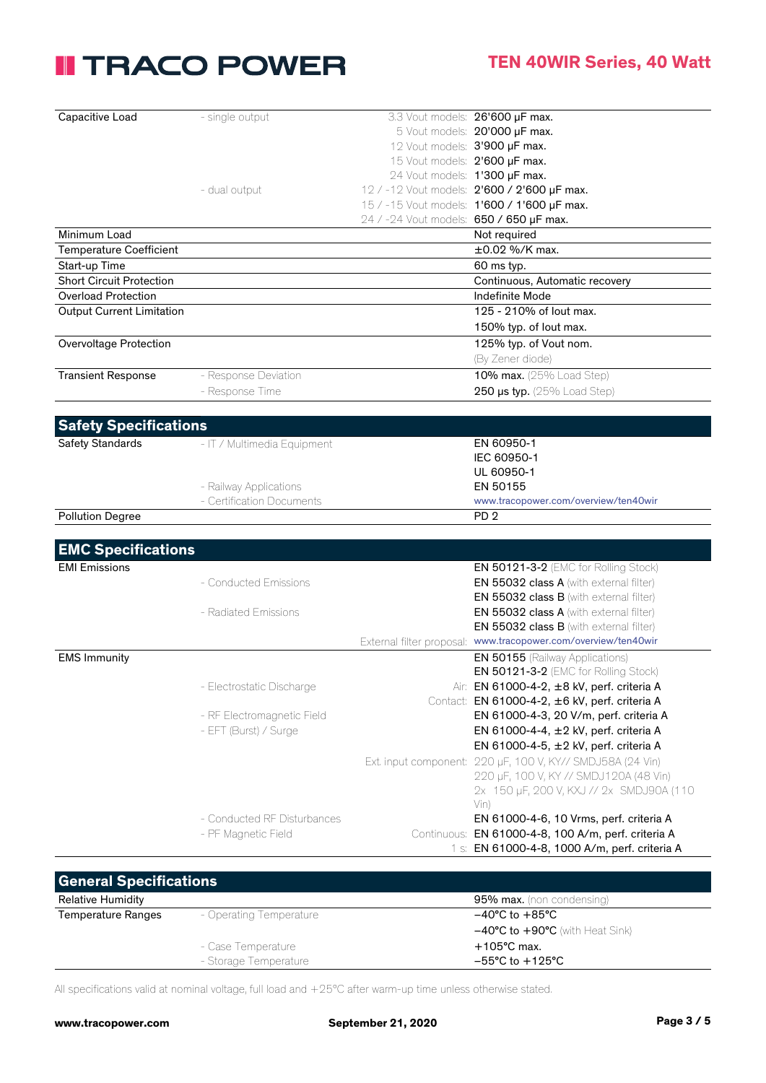### **II TRACO POWER**

| Capacitive Load                  | - single output             |                                         | 3.3 Vout models: 26'600 µF max.                            |
|----------------------------------|-----------------------------|-----------------------------------------|------------------------------------------------------------|
|                                  |                             |                                         | 5 Vout models: 20'000 µF max.                              |
|                                  |                             | 12 Vout models: 3'900 µF max.           |                                                            |
|                                  |                             | 15 Vout models: 2'600 µF max.           |                                                            |
|                                  |                             | 24 Vout models: 1'300 µF max.           |                                                            |
|                                  | - dual output               |                                         | 12 / -12 Vout models: 2'600 / 2'600 µF max.                |
|                                  |                             |                                         | 15 / -15 Vout models: 1'600 / 1'600 µF max.                |
|                                  |                             | 24 / -24 Vout models: 650 / 650 µF max. |                                                            |
| Minimum Load                     |                             |                                         | Not required                                               |
| <b>Temperature Coefficient</b>   |                             |                                         | ±0.02 %/K max.                                             |
| Start-up Time                    |                             |                                         | 60 ms typ.                                                 |
| <b>Short Circuit Protection</b>  |                             |                                         | Continuous, Automatic recovery                             |
| <b>Overload Protection</b>       |                             |                                         | Indefinite Mode                                            |
| <b>Output Current Limitation</b> |                             |                                         | 125 - 210% of lout max.                                    |
|                                  |                             |                                         | 150% typ. of lout max.                                     |
| Overvoltage Protection           |                             |                                         | 125% typ. of Vout nom.                                     |
|                                  |                             |                                         | (By Zener diode)                                           |
| <b>Transient Response</b>        | - Response Deviation        |                                         | 10% max. (25% Load Step)                                   |
|                                  | - Response Time             |                                         | 250 $\mu$ s typ. (25% Load Step)                           |
|                                  |                             |                                         |                                                            |
|                                  |                             |                                         |                                                            |
| <b>Safety Specifications</b>     |                             |                                         |                                                            |
| <b>Safety Standards</b>          | - IT / Multimedia Equipment |                                         | EN 60950-1                                                 |
|                                  |                             |                                         | IEC 60950-1                                                |
|                                  |                             |                                         | UL 60950-1                                                 |
|                                  | - Railway Applications      |                                         | EN 50155                                                   |
|                                  | - Certification Documents   |                                         | www.tracopower.com/overview/ten40wir                       |
| <b>Pollution Degree</b>          |                             |                                         | PD <sub>2</sub>                                            |
|                                  |                             |                                         |                                                            |
| <b>EMC Specifications</b>        |                             |                                         |                                                            |
| <b>EMI Emissions</b>             |                             |                                         | EN 50121-3-2 (EMC for Rolling Stock)                       |
|                                  | - Conducted Emissions       |                                         | EN 55032 class A (with external filter)                    |
|                                  |                             |                                         | EN 55032 class B (with external filter)                    |
|                                  | - Radiated Emissions        |                                         | EN 55032 class A (with external filter)                    |
|                                  |                             |                                         | EN 55032 class B (with external filter)                    |
|                                  |                             | External filter proposal:               | www.tracopower.com/overview/ten40wir                       |
| <b>EMS Immunity</b>              |                             |                                         | EN 50155 (Railway Applications)                            |
|                                  |                             |                                         | EN 50121-3-2 (EMC for Rolling Stock)                       |
|                                  | - Electrostatic Discharge   |                                         | Air: EN 61000-4-2, ±8 kV, perf. criteria A                 |
|                                  |                             |                                         | Contact: EN 61000-4-2, ±6 kV, perf. criteria A             |
|                                  | - RF Electromagnetic Field  |                                         | EN 61000-4-3, 20 V/m, perf. criteria A                     |
|                                  | - EFT (Burst) / Surge       |                                         | EN 61000-4-4, ±2 kV, perf. criteria A                      |
|                                  |                             |                                         | EN 61000-4-5, ±2 kV, perf. criteria A                      |
|                                  |                             |                                         | Ext. input component: 220 µF, 100 V, KY// SMDJ58A (24 Vin) |
|                                  |                             |                                         | 220 µF, 100 V, KY // SMDJ120A (48 Vin)                     |
|                                  |                             |                                         | 2x 150 µF, 200 V, KXJ // 2x SMDJ90A (110                   |
|                                  |                             |                                         | Vin)                                                       |
|                                  | - Conducted RF Disturbances |                                         | EN 61000-4-6, 10 Vrms, perf. criteria A                    |
|                                  | - PF Magnetic Field         |                                         | Continuous: EN 61000-4-8, 100 A/m, perf. criteria A        |
|                                  |                             |                                         | 1 s: EN 61000-4-8, 1000 A/m, perf. criteria A              |
|                                  |                             |                                         |                                                            |
| <b>General Specifications</b>    |                             |                                         |                                                            |
|                                  |                             |                                         |                                                            |

| <b>Solicial opecifications</b> |                         |                                                     |
|--------------------------------|-------------------------|-----------------------------------------------------|
| <b>Relative Humidity</b>       |                         | <b>95% max.</b> (non condensing)                    |
| Temperature Ranges             | - Operating Temperature | $-40^{\circ}$ C to $+85^{\circ}$ C                  |
|                                |                         | $-40^{\circ}$ C to $+90^{\circ}$ C (with Heat Sink) |
|                                | - Case Temperature      | $+105^{\circ}$ C max.                               |
|                                | - Storage Temperature   | $-55^{\circ}$ C to $+125^{\circ}$ C                 |
|                                |                         |                                                     |

All specifications valid at nominal voltage, full load and +25°C after warm-up time unless otherwise stated.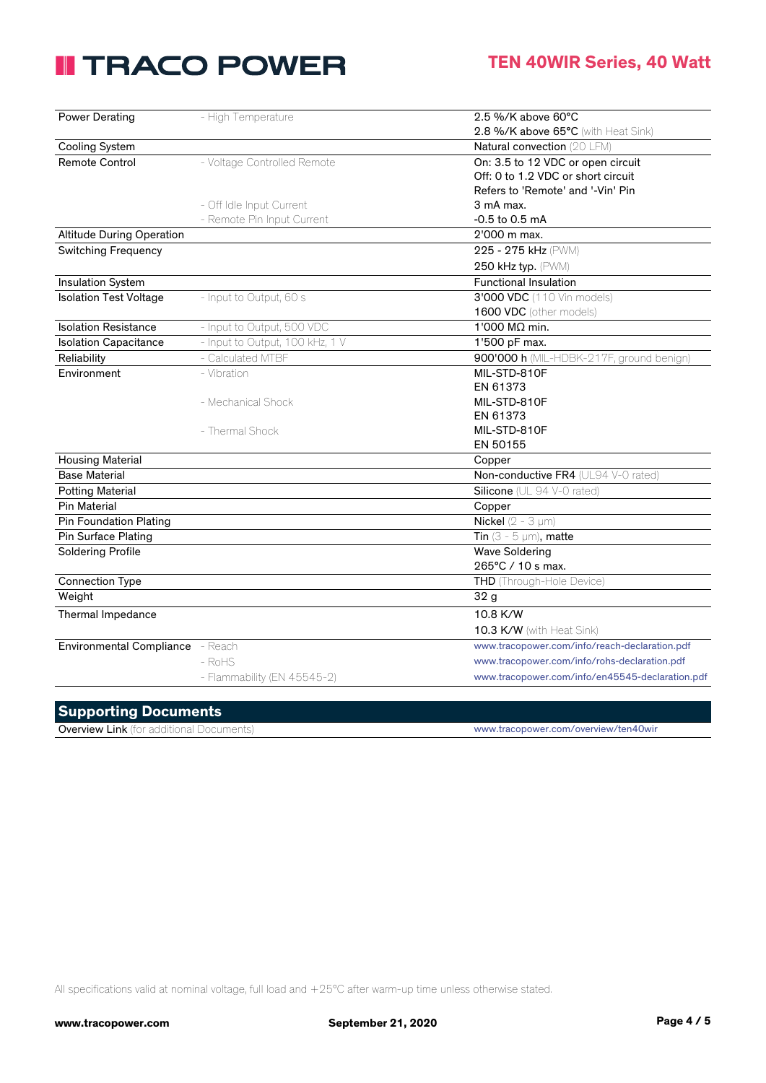## **II TRACO POWER**

| Power Derating                   | - High Temperature              | $2.5\%$ /K above 60 $\degree$ C                 |
|----------------------------------|---------------------------------|-------------------------------------------------|
|                                  |                                 | 2.8 %/K above 65°C (with Heat Sink)             |
| <b>Cooling System</b>            |                                 | Natural convection (20 LFM)                     |
| <b>Remote Control</b>            | - Voltage Controlled Remote     | On: 3.5 to 12 VDC or open circuit               |
|                                  |                                 | Off: 0 to 1.2 VDC or short circuit              |
|                                  |                                 | Refers to 'Remote' and '-Vin' Pin               |
|                                  | - Off Idle Input Current        | 3 mA max.                                       |
|                                  | - Remote Pin Input Current      | $-0.5$ to $0.5$ mA                              |
| <b>Altitude During Operation</b> |                                 | 2'000 m max.                                    |
| <b>Switching Frequency</b>       |                                 | 225 - 275 kHz (PWM)                             |
|                                  |                                 | 250 kHz typ. (PWM)                              |
| <b>Insulation System</b>         |                                 | <b>Functional Insulation</b>                    |
| <b>Isolation Test Voltage</b>    | - Input to Output, 60 s         | 3'000 VDC (110 Vin models)                      |
|                                  |                                 | 1600 VDC (other models)                         |
| <b>Isolation Resistance</b>      | - Input to Output, 500 VDC      | 1'000 MΩ min.                                   |
| <b>Isolation Capacitance</b>     | - Input to Output, 100 kHz, 1 V | 1'500 pF max.                                   |
| Reliability                      | - Calculated MTBF               | 900'000 h (MIL-HDBK-217F, ground benign)        |
| Environment                      | - Vibration                     | MIL-STD-810F                                    |
|                                  |                                 | EN 61373                                        |
|                                  | - Mechanical Shock              | MIL-STD-810F                                    |
|                                  |                                 | EN 61373                                        |
|                                  | - Thermal Shock                 | MIL-STD-810F                                    |
|                                  |                                 | EN 50155                                        |
| <b>Housing Material</b>          |                                 | Copper                                          |
| <b>Base Material</b>             |                                 | Non-conductive FR4 (UL94 V-0 rated)             |
| <b>Potting Material</b>          |                                 | Silicone (UL 94 V-0 rated)                      |
| <b>Pin Material</b>              |                                 | Copper                                          |
| <b>Pin Foundation Plating</b>    |                                 | Nickel ( $2 - 3 \mu m$ )                        |
| Pin Surface Plating              |                                 | Tin $(3 - 5 \mu m)$ , matte                     |
| <b>Soldering Profile</b>         |                                 | <b>Wave Soldering</b>                           |
|                                  |                                 | 265°C / 10 s max.                               |
| <b>Connection Type</b>           |                                 | <b>THD</b> (Through-Hole Device)                |
| Weight                           |                                 | 32 <sub>g</sub>                                 |
| Thermal Impedance                |                                 | 10.8 K/W                                        |
|                                  |                                 | 10.3 K/W (with Heat Sink)                       |
| Environmental Compliance - Reach |                                 | www.tracopower.com/info/reach-declaration.pdf   |
|                                  | $-RoHS$                         | www.tracopower.com/info/rohs-declaration.pdf    |
|                                  | - Flammability (EN 45545-2)     | www.tracopower.com/info/en45545-declaration.pdf |

| <b>Supporting Documents</b>                     |                                      |
|-------------------------------------------------|--------------------------------------|
| <b>Overview Link</b> (for additional Documents) | www.tracopower.com/overview/ten40wir |

All specifications valid at nominal voltage, full load and +25°C after warm-up time unless otherwise stated.